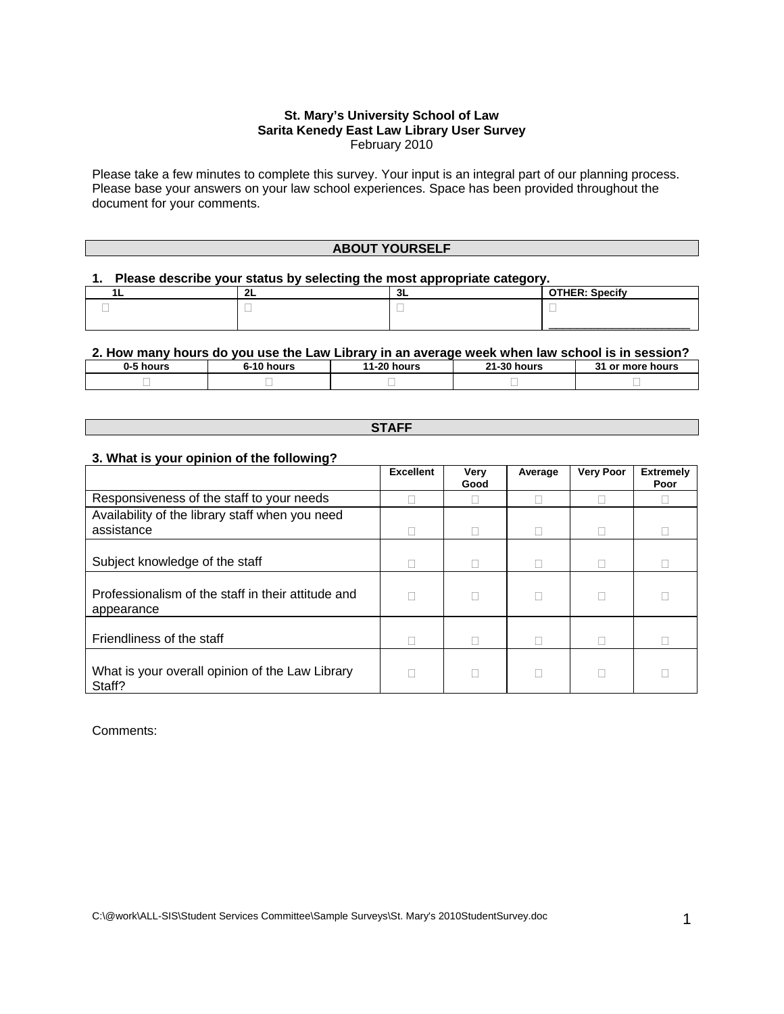#### **St. Mary's University School of Law Sarita Kenedy East Law Library User Survey** February 2010

Please take a few minutes to complete this survey. Your input is an integral part of our planning process. Please base your answers on your law school experiences. Space has been provided throughout the document for your comments.

#### **ABOUT YOURSELF**

## **1. Please describe your status by selecting the most appropriate category.**

| - | JЫ | <b>Specify</b><br>$- - - - -$ |
|---|----|-------------------------------|
|   |    |                               |
|   |    |                               |

#### **2. How many hours do you use the Law Library in an average week when law school is in session?**

| 0-5 hours | 40'<br>hours | $11 - 20'$<br>hours | <b>04.90 L</b><br>hours<br>וני. | - 22<br>or more hours<br>ו כ |
|-----------|--------------|---------------------|---------------------------------|------------------------------|
|           |              |                     |                                 |                              |

#### **STAFF**

#### **3. What is your opinion of the following?**

|                                                                  | <b>Excellent</b> | Very<br>Good | Average | <b>Very Poor</b> | <b>Extremely</b><br>Poor |
|------------------------------------------------------------------|------------------|--------------|---------|------------------|--------------------------|
| Responsiveness of the staff to your needs                        |                  |              |         |                  |                          |
| Availability of the library staff when you need<br>assistance    |                  |              |         |                  |                          |
| Subject knowledge of the staff                                   |                  |              |         |                  |                          |
| Professionalism of the staff in their attitude and<br>appearance |                  |              |         |                  |                          |
| Friendliness of the staff                                        |                  |              |         |                  |                          |
| What is your overall opinion of the Law Library<br>Staff?        |                  |              |         |                  |                          |

#### Comments: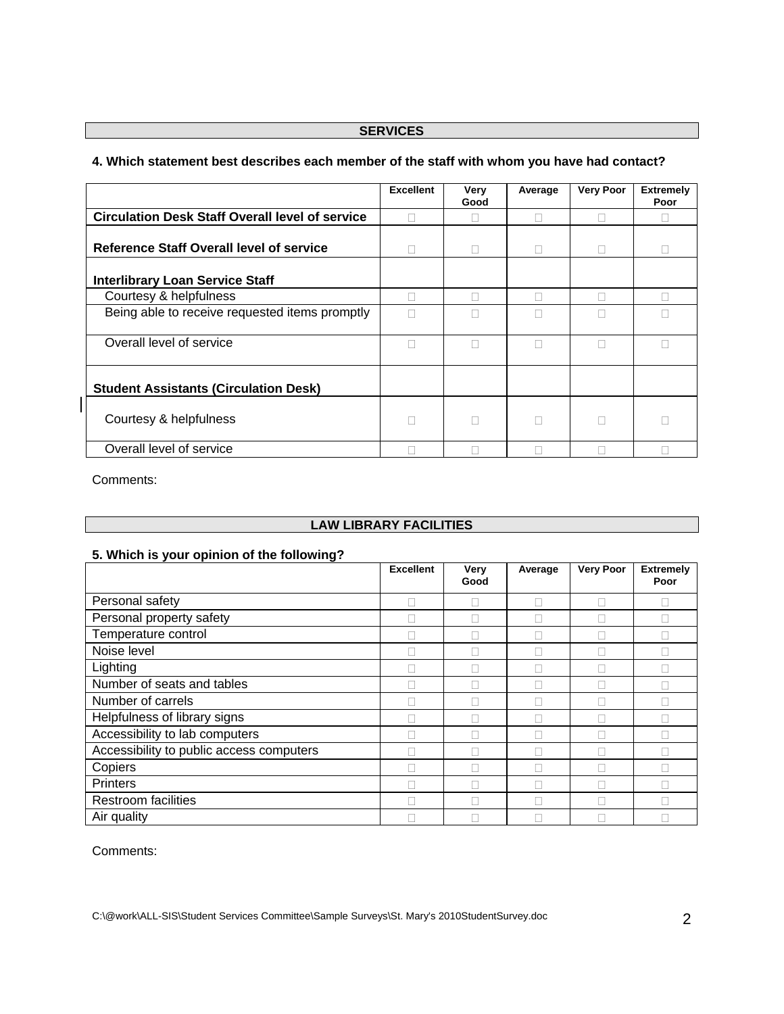## **SERVICES**

# **Excellent Very Good Average Very Poor Extremely Poor Circulation Desk Staff Overall level of service Quartity Quarter (Quarter Quarter Quarter Quarter Quarter Quarter Quarter Quarter Quarter Quarter Quarter Quarter Quarter Quarter Quarter Quarter Quarter Quarter Quarter Q Reference Staff Overall level of service**  $\Box$   $\Box$   $\Box$   $\Box$   $\Box$   $\Box$   $\Box$ **Interlibrary Loan Service Staff**  Courtesy & helpfulness and a courtesy & helpfulness and a courtesy & helpfulness Being able to receive requested items promptly  $\Box$   $\Box$   $\Box$   $\Box$   $\Box$ Overall level of service **Service COVER 10 COVER 10 COVER 10 COVER 10 COVER 10 COVER 10 COVER 10 COVER Student Assistants (Circulation Desk)**  Courtesy & helpfulness and the courtesy & helpfulness and the courtesy & helpfulness Overall level of service **and a service** and a service and a service and a service and a service and a service and a service and a service and a service and a service and a service and a service and a service and a service

# **4. Which statement best describes each member of the staff with whom you have had contact?**

Comments:

## **LAW LIBRARY FACILITIES**

#### **5. Which is your opinion of the following?**

|                                          | <b>Excellent</b> | Very<br>Good | Average | <b>Very Poor</b> | <b>Extremely</b><br>Poor |
|------------------------------------------|------------------|--------------|---------|------------------|--------------------------|
| Personal safety                          |                  |              |         |                  |                          |
| Personal property safety                 |                  |              |         |                  |                          |
| Temperature control                      |                  |              |         |                  |                          |
| Noise level                              |                  |              |         |                  |                          |
| Lighting                                 |                  |              |         |                  |                          |
| Number of seats and tables               |                  |              |         |                  |                          |
| Number of carrels                        |                  |              |         |                  |                          |
| Helpfulness of library signs             |                  |              |         |                  |                          |
| Accessibility to lab computers           |                  |              |         |                  |                          |
| Accessibility to public access computers |                  |              |         |                  |                          |
| Copiers                                  |                  |              |         |                  |                          |
| Printers                                 |                  |              |         |                  |                          |
| <b>Restroom facilities</b>               |                  |              |         |                  |                          |
| Air quality                              |                  |              |         |                  |                          |

Comments: